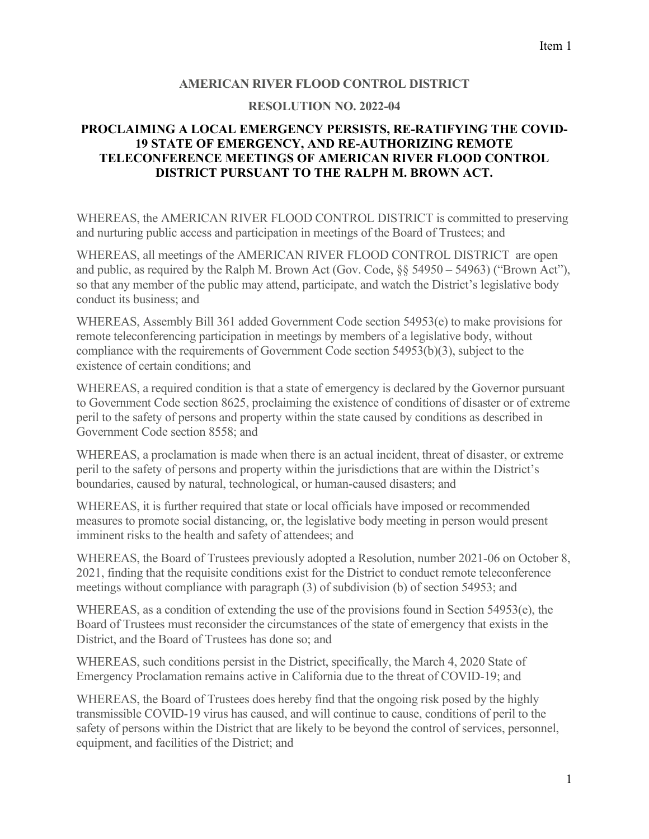## **AMERICAN RIVER FLOOD CONTROL DISTRICT**

## **RESOLUTION NO. 2022-04**

## **PROCLAIMING A LOCAL EMERGENCY PERSISTS, RE-RATIFYING THE COVID-19 STATE OF EMERGENCY, AND RE-AUTHORIZING REMOTE TELECONFERENCE MEETINGS OF AMERICAN RIVER FLOOD CONTROL DISTRICT PURSUANT TO THE RALPH M. BROWN ACT.**

WHEREAS, the AMERICAN RIVER FLOOD CONTROL DISTRICT is committed to preserving and nurturing public access and participation in meetings of the Board of Trustees; and

WHEREAS, all meetings of the AMERICAN RIVER FLOOD CONTROL DISTRICT are open and public, as required by the Ralph M. Brown Act (Gov. Code, §§ 54950 – 54963) ("Brown Act"), so that any member of the public may attend, participate, and watch the District's legislative body conduct its business; and

WHEREAS, Assembly Bill 361 added Government Code section 54953(e) to make provisions for remote teleconferencing participation in meetings by members of a legislative body, without compliance with the requirements of Government Code section 54953(b)(3), subject to the existence of certain conditions; and

WHEREAS, a required condition is that a state of emergency is declared by the Governor pursuant to Government Code section 8625, proclaiming the existence of conditions of disaster or of extreme peril to the safety of persons and property within the state caused by conditions as described in Government Code section 8558; and

WHEREAS, a proclamation is made when there is an actual incident, threat of disaster, or extreme peril to the safety of persons and property within the jurisdictions that are within the District's boundaries, caused by natural, technological, or human-caused disasters; and

WHEREAS, it is further required that state or local officials have imposed or recommended measures to promote social distancing, or, the legislative body meeting in person would present imminent risks to the health and safety of attendees; and

WHEREAS, the Board of Trustees previously adopted a Resolution, number 2021-06 on October 8, 2021, finding that the requisite conditions exist for the District to conduct remote teleconference meetings without compliance with paragraph (3) of subdivision (b) of section 54953; and

WHEREAS, as a condition of extending the use of the provisions found in Section 54953(e), the Board of Trustees must reconsider the circumstances of the state of emergency that exists in the District, and the Board of Trustees has done so; and

WHEREAS, such conditions persist in the District, specifically, the March 4, 2020 State of Emergency Proclamation remains active in California due to the threat of COVID-19; and

WHEREAS, the Board of Trustees does hereby find that the ongoing risk posed by the highly transmissible COVID-19 virus has caused, and will continue to cause, conditions of peril to the safety of persons within the District that are likely to be beyond the control of services, personnel, equipment, and facilities of the District; and